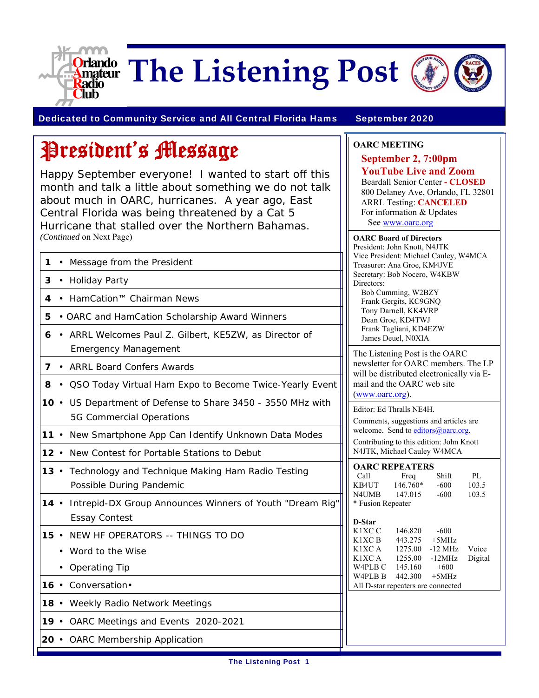

# **The Listening Post**



Dedicated to Community Service and All Central Florida Hams September 2020

# President's Message

Happy September everyone! I wanted to start off this month and talk a little about something we do not talk about much in OARC, hurricanes. A year ago, East Central Florida was being threatened by a Cat 5 Hurricane that stalled over the Northern Bahamas. *(Continued* on Next Page)

| 1            |           | • Message from the President                                                                   | Vice Presio<br>Treasurer:          |  |
|--------------|-----------|------------------------------------------------------------------------------------------------|------------------------------------|--|
| $\mathbf{3}$ |           | • Holiday Party                                                                                | Secretary:<br>Directors:           |  |
|              |           | 4 • HamCation™ Chairman News                                                                   | Bob Cur<br>Frank G                 |  |
| 5            |           | • OARC and HamCation Scholarship Award Winners                                                 | Tony Da<br>Dean Gr                 |  |
| 6            | $\bullet$ | ARRL Welcomes Paul Z. Gilbert, KE5ZW, as Director of<br><b>Emergency Management</b>            | Frank Ta<br>James D<br>The Lister  |  |
|              |           | 7 • ARRL Board Confers Awards                                                                  | newsletter<br>will be dis          |  |
| 8            |           | • QSO Today Virtual Ham Expo to Become Twice-Yearly Event                                      | mail and t                         |  |
|              |           | 10 • US Department of Defense to Share 3450 - 3550 MHz with<br><b>5G Commercial Operations</b> | (www.oar<br>Editor: Ed<br>Comments |  |
|              |           | 11 • New Smartphone App Can Identify Unknown Data Modes                                        | welcome.<br>Contributir            |  |
|              |           | 12 • New Contest for Portable Stations to Debut                                                | N4JTK, M                           |  |
| 13.          |           | Technology and Technique Making Ham Radio Testing<br>Possible During Pandemic                  | <b>OARCR</b><br>Call<br>KB4UT      |  |
|              |           | 14 • Intrepid-DX Group Announces Winners of Youth "Dream Rig"<br><b>Essay Contest</b>          | N4UMB<br>* Fusion R<br>D-Star      |  |
|              |           | <b>15 • NEW HF OPERATORS -- THINGS TO DO</b>                                                   | K1XC C<br>K1XC B                   |  |
|              |           | Word to the Wise                                                                               | K1XC A<br>K1XC A                   |  |
|              |           | • Operating Tip                                                                                | W4PLB C<br>W4PLB B                 |  |
|              |           | 16 · Conversation ·                                                                            | All D-star                         |  |
|              |           | 18 • Weekly Radio Network Meetings                                                             |                                    |  |
|              |           | 19 • OARC Meetings and Events 2020-2021                                                        |                                    |  |
|              |           | 20 • OARC Membership Application                                                               |                                    |  |

#### **OARC MEETING**

**September 2, 7:00pm YouTube Live and Zoom**  Beardall Senior Center **- CLOSED**  800 Delaney Ave, Orlando, FL 32801 ARRL Testing: **CANCELED** For information & Updates See www.oarc.org

**OARC Board of Directors** President: John Knott, N4JTK dent: Michael Cauley, W4MCA Ana Groe, KM4JVE Bob Nocero, W4KBW mming, W2BZY ergits, KC9GNQ arnell, KK4VRP roe, KD4TWJ agliani, KD4EZW leuel, N0XIA ning Post is the OARC

r for OARC members. The LP stributed electronically via Ethe OARC web site  $rc.org$ ).

Thralls NE4H.

suggestions and articles are Send to editors@oarc.org. ng to this edition: John Knott ichael Cauley W4MCA

| <b>OARC REPEATERS</b> |          |        |       |
|-----------------------|----------|--------|-------|
| Call                  | Freq     | Shift  | PL.   |
| KB4UT                 | 146.760* | $-600$ | 103.5 |
| N4UMB                 | 147.015  | $-600$ | 103.5 |
| * Fusion Repeater     |          |        |       |

| D-Star                             |         |           |         |
|------------------------------------|---------|-----------|---------|
| K <sub>1</sub> XC <sub>C</sub>     | 146.820 | $-600$    |         |
| K1XC B                             | 443.275 | $+5MHz$   |         |
| K1XC A                             | 1275.00 | $-12$ MHz | Voice   |
| K1XC A                             | 1255.00 | $-12MHz$  | Digital |
| W4PLB C                            | 145.160 | $+600$    |         |
| W4PLB B                            | 442.300 | $+5MHz$   |         |
| All D-star repeaters are connected |         |           |         |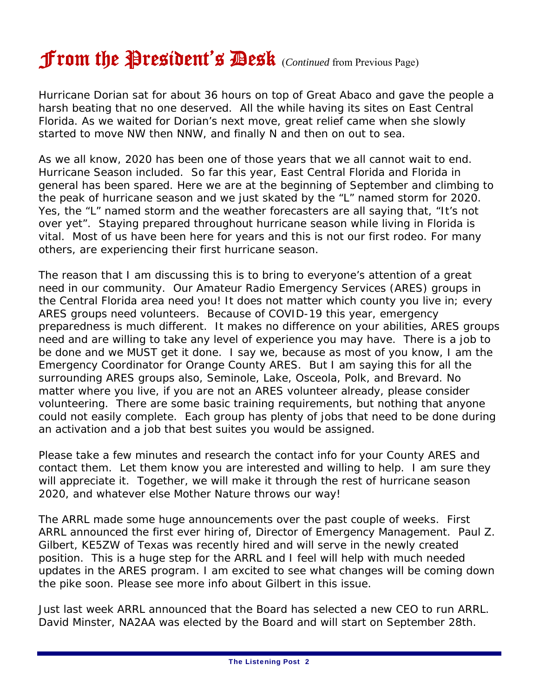# From the President's Desk (*Continued* from Previous Page)

Hurricane Dorian sat for about 36 hours on top of Great Abaco and gave the people a harsh beating that no one deserved. All the while having its sites on East Central Florida. As we waited for Dorian's next move, great relief came when she slowly started to move NW then NNW, and finally N and then on out to sea.

As we all know, 2020 has been one of those years that we all cannot wait to end. Hurricane Season included. So far this year, East Central Florida and Florida in general has been spared. Here we are at the beginning of September and climbing to the peak of hurricane season and we just skated by the "L" named storm for 2020. Yes, the "L" named storm and the weather forecasters are all saying that, "It's not over yet". Staying prepared throughout hurricane season while living in Florida is vital. Most of us have been here for years and this is not our first rodeo. For many others, are experiencing their first hurricane season.

The reason that I am discussing this is to bring to everyone's attention of a great need in our community. Our Amateur Radio Emergency Services (ARES) groups in the Central Florida area need you! It does not matter which county you live in; every ARES groups need volunteers. Because of COVID-19 this year, emergency preparedness is much different. It makes no difference on your abilities, ARES groups need and are willing to take any level of experience you may have. There is a job to be done and we MUST get it done. I say we, because as most of you know, I am the Emergency Coordinator for Orange County ARES. But I am saying this for all the surrounding ARES groups also, Seminole, Lake, Osceola, Polk, and Brevard. No matter where you live, if you are not an ARES volunteer already, please consider volunteering. There are some basic training requirements, but nothing that anyone could not easily complete. Each group has plenty of jobs that need to be done during an activation and a job that best suites you would be assigned.

Please take a few minutes and research the contact info for your County ARES and contact them. Let them know you are interested and willing to help. I am sure they will appreciate it. Together, we will make it through the rest of hurricane season 2020, and whatever else Mother Nature throws our way!

The ARRL made some huge announcements over the past couple of weeks. First ARRL announced the first ever hiring of, Director of Emergency Management. Paul Z. Gilbert, KE5ZW of Texas was recently hired and will serve in the newly created position. This is a huge step for the ARRL and I feel will help with much needed updates in the ARES program. I am excited to see what changes will be coming down the pike soon. Please see more info about Gilbert in this issue.

Just last week ARRL announced that the Board has selected a new CEO to run ARRL. David Minster, NA2AA was elected by the Board and will start on September 28th.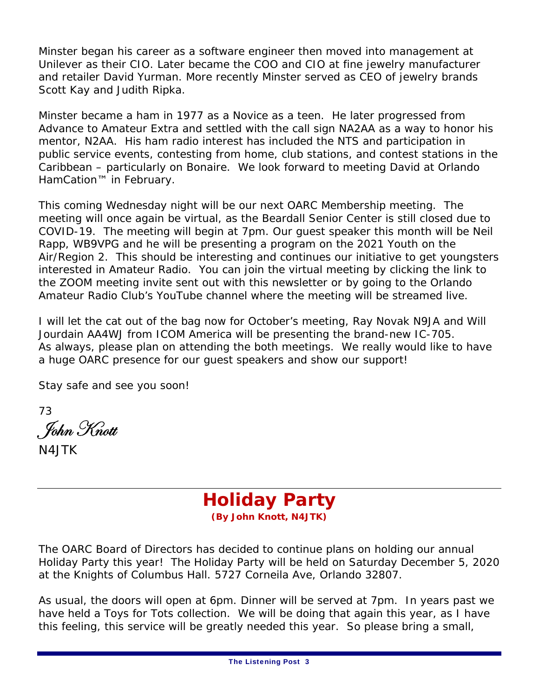Minster began his career as a software engineer then moved into management at Unilever as their CIO. Later became the COO and CIO at fine jewelry manufacturer and retailer David Yurman. More recently Minster served as CEO of jewelry brands Scott Kay and Judith Ripka.

Minster became a ham in 1977 as a Novice as a teen. He later progressed from Advance to Amateur Extra and settled with the call sign NA2AA as a way to honor his mentor, N2AA. His ham radio interest has included the NTS and participation in public service events, contesting from home, club stations, and contest stations in the Caribbean – particularly on Bonaire. We look forward to meeting David at Orlando HamCation™ in February.

This coming Wednesday night will be our next OARC Membership meeting. The meeting will once again be virtual, as the Beardall Senior Center is still closed due to COVID-19. The meeting will begin at 7pm. Our guest speaker this month will be Neil Rapp, WB9VPG and he will be presenting a program on the 2021 Youth on the Air/Region 2. This should be interesting and continues our initiative to get youngsters interested in Amateur Radio. You can join the virtual meeting by clicking the link to the ZOOM meeting invite sent out with this newsletter or by going to the Orlando Amateur Radio Club's YouTube channel where the meeting will be streamed live.

I will let the cat out of the bag now for October's meeting, Ray Novak N9JA and Will Jourdain AA4WJ from ICOM America will be presenting the brand-new IC-705. As always, please plan on attending the both meetings. We really would like to have a huge OARC presence for our guest speakers and show our support!

Stay safe and see you soon!

73 . John Knott

N4JTK



The OARC Board of Directors has decided to continue plans on holding our annual Holiday Party this year! The Holiday Party will be held on Saturday December 5, 2020 at the Knights of Columbus Hall. 5727 Corneila Ave, Orlando 32807.

As usual, the doors will open at 6pm. Dinner will be served at 7pm. In years past we have held a Toys for Tots collection. We will be doing that again this year, as I have this feeling, this service will be greatly needed this year. So please bring a small,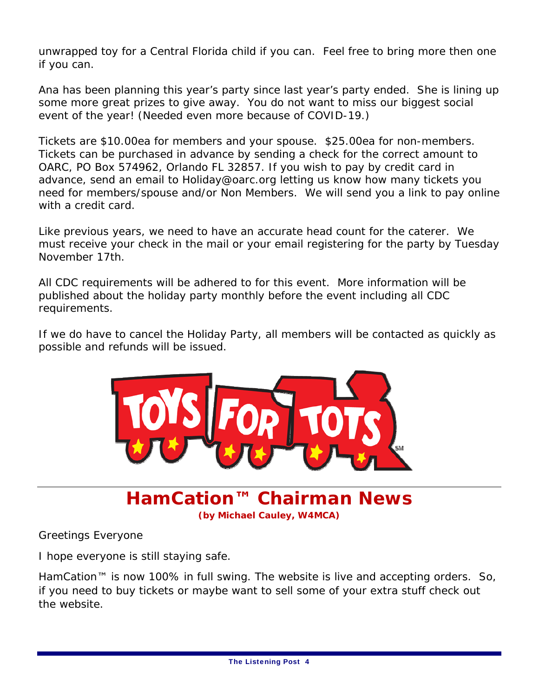unwrapped toy for a Central Florida child if you can. Feel free to bring more then one if you can.

Ana has been planning this year's party since last year's party ended. She is lining up some more great prizes to give away. You do not want to miss our biggest social event of the year! (Needed even more because of COVID-19.)

Tickets are \$10.00ea for members and your spouse. \$25.00ea for non-members. Tickets can be purchased in advance by sending a check for the correct amount to OARC, PO Box 574962, Orlando FL 32857. If you wish to pay by credit card in advance, send an email to Holiday@oarc.org letting us know how many tickets you need for members/spouse and/or Non Members. We will send you a link to pay online with a credit card.

Like previous years, we need to have an accurate head count for the caterer. We must receive your check in the mail or your email registering for the party by Tuesday November 17th.

All CDC requirements will be adhered to for this event. More information will be published about the holiday party monthly before the event including all CDC requirements.

If we do have to cancel the Holiday Party, all members will be contacted as quickly as possible and refunds will be issued.



**HamCation™ Chairman News (by Michael Cauley, W4MCA)**

Greetings Everyone

I hope everyone is still staying safe.

HamCation™ is now 100% in full swing. The website is live and accepting orders. So, if you need to buy tickets or maybe want to sell some of your extra stuff check out the website.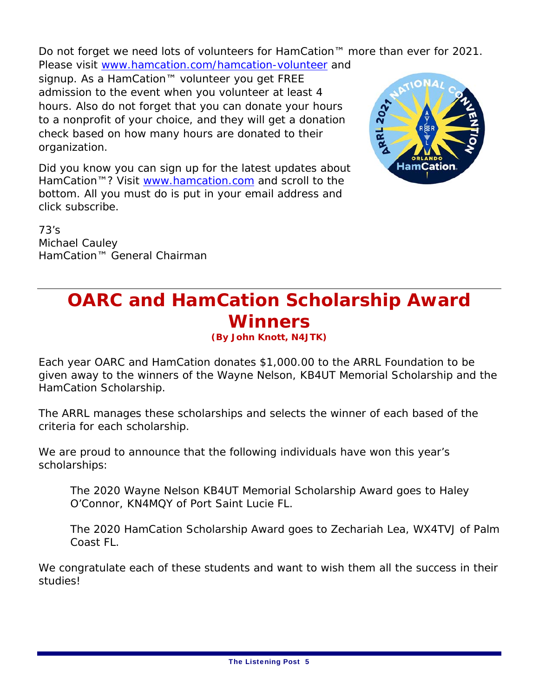Do not forget we need lots of volunteers for HamCation™ more than ever for 2021. Please visit www.hamcation.com/hamcation-volunteer and

signup. As a HamCation™ volunteer you get FREE admission to the event when you volunteer at least 4 hours. Also do not forget that you can donate your hours to a nonprofit of your choice, and they will get a donation check based on how many hours are donated to their organization.

RRL 202.

Did you know you can sign up for the latest updates about HamCation™? Visit www.hamcation.com and scroll to the bottom. All you must do is put in your email address and click subscribe.

73's Michael Cauley HamCation™ General Chairman

### **OARC and HamCation Scholarship Award Winners**

**(By John Knott, N4JTK)**

Each year OARC and HamCation donates \$1,000.00 to the ARRL Foundation to be given away to the winners of the Wayne Nelson, KB4UT Memorial Scholarship and the HamCation Scholarship.

The ARRL manages these scholarships and selects the winner of each based of the criteria for each scholarship.

We are proud to announce that the following individuals have won this year's scholarships:

The 2020 Wayne Nelson KB4UT Memorial Scholarship Award goes to Haley O'Connor, KN4MQY of Port Saint Lucie FL.

The 2020 HamCation Scholarship Award goes to Zechariah Lea, WX4TVJ of Palm Coast FL.

We congratulate each of these students and want to wish them all the success in their studies!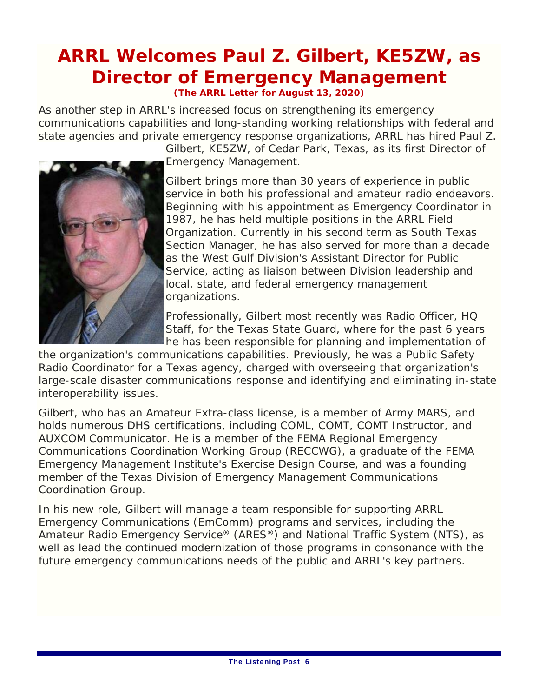# **ARRL Welcomes Paul Z. Gilbert, KE5ZW, as Director of Emergency Management**

**(The ARRL Letter for August 13, 2020)** 

As another step in ARRL's increased focus on strengthening its emergency communications capabilities and long-standing working relationships with federal and state agencies and private emergency response organizations, ARRL has hired Paul Z.



Gilbert, KE5ZW, of Cedar Park, Texas, as its first Director of Emergency Management.

Gilbert brings more than 30 years of experience in public service in both his professional and amateur radio endeavors. Beginning with his appointment as Emergency Coordinator in 1987, he has held multiple positions in the ARRL Field Organization. Currently in his second term as South Texas Section Manager, he has also served for more than a decade as the West Gulf Division's Assistant Director for Public Service, acting as liaison between Division leadership and local, state, and federal emergency management organizations.

Professionally, Gilbert most recently was Radio Officer, HQ Staff, for the Texas State Guard, where for the past 6 years he has been responsible for planning and implementation of

the organization's communications capabilities. Previously, he was a Public Safety Radio Coordinator for a Texas agency, charged with overseeing that organization's large-scale disaster communications response and identifying and eliminating in-state interoperability issues.

Gilbert, who has an Amateur Extra-class license, is a member of Army MARS, and holds numerous DHS certifications, including COML, COMT, COMT Instructor, and AUXCOM Communicator. He is a member of the FEMA Regional Emergency Communications Coordination Working Group (RECCWG), a graduate of the FEMA Emergency Management Institute's Exercise Design Course, and was a founding member of the Texas Division of Emergency Management Communications Coordination Group.

In his new role, Gilbert will manage a team responsible for supporting ARRL Emergency Communications (EmComm) programs and services, including the Amateur Radio Emergency Service® (ARES®) and National Traffic System (NTS), as well as lead the continued modernization of those programs in consonance with the future emergency communications needs of the public and ARRL's key partners.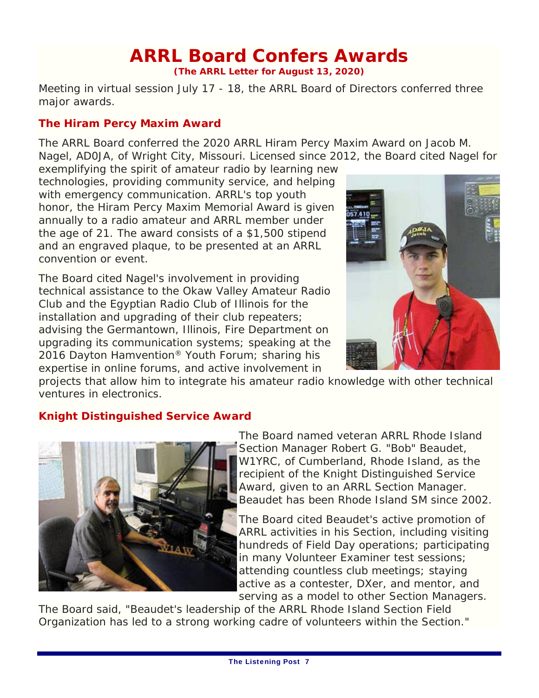# **ARRL Board Confers Awards**

**(The ARRL Letter for August 13, 2020)**

Meeting in virtual session July 17 - 18, the ARRL Board of Directors conferred three major awards.

### **The Hiram Percy Maxim Award**

The ARRL Board conferred the 2020 ARRL Hiram Percy Maxim Award on Jacob M. Nagel, AD0JA, of Wright City, Missouri. Licensed since 2012, the Board cited Nagel for

exemplifying the spirit of amateur radio by learning new technologies, providing community service, and helping with emergency communication. ARRL's top youth honor, the Hiram Percy Maxim Memorial Award is given annually to a radio amateur and ARRL member under the age of 21. The award consists of a \$1,500 stipend and an engraved plaque, to be presented at an ARRL convention or event.

The Board cited Nagel's involvement in providing technical assistance to the Okaw Valley Amateur Radio Club and the Egyptian Radio Club of Illinois for the installation and upgrading of their club repeaters; advising the Germantown, Illinois, Fire Department on upgrading its communication systems; speaking at the 2016 Dayton Hamvention® Youth Forum; sharing his expertise in online forums, and active involvement in



projects that allow him to integrate his amateur radio knowledge with other technical ventures in electronics.

#### **Knight Distinguished Service Award**



The Board named veteran ARRL Rhode Island Section Manager Robert G. "Bob" Beaudet, W1YRC, of Cumberland, Rhode Island, as the recipient of the Knight Distinguished Service Award, given to an ARRL Section Manager. Beaudet has been Rhode Island SM since 2002.

The Board cited Beaudet's active promotion of ARRL activities in his Section, including visiting hundreds of Field Day operations; participating in many Volunteer Examiner test sessions; attending countless club meetings; staying active as a contester, DXer, and mentor, and serving as a model to other Section Managers.

The Board said, "Beaudet's leadership of the ARRL Rhode Island Section Field Organization has led to a strong working cadre of volunteers within the Section."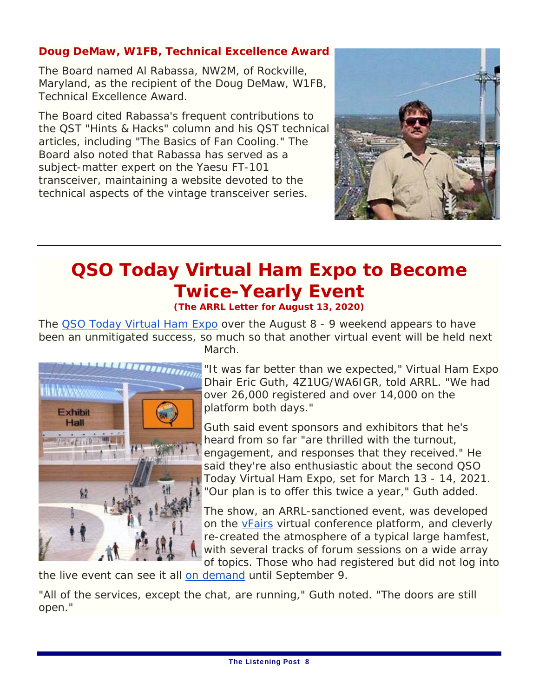### **Doug DeMaw, W1FB, Technical Excellence Award**

The Board named Al Rabassa, NW2M, of Rockville, Maryland, as the recipient of the Doug DeMaw, W1FB, Technical Excellence Award.

The Board cited Rabassa's frequent contributions to the *QST* "Hints & Hacks" column and his *QST* technical articles, including "The Basics of Fan Cooling." The Board also noted that Rabassa has served as a subject-matter expert on the Yaesu FT-101 transceiver, maintaining a website devoted to the technical aspects of the vintage transceiver series.



# **QSO Today Virtual Ham Expo to Become Twice-Yearly Event**

**(The ARRL Letter for August 13, 2020)**

The OSO Today Virtual Ham Expo over the August 8 - 9 weekend appears to have been an unmitigated success, so much so that another virtual event will be held next March.



"It was far better than we expected," Virtual Ham Expo Dhair Eric Guth, 4Z1UG/WA6IGR, told ARRL. "We had over 26,000 registered and over 14,000 on the platform both days."

Guth said event sponsors and exhibitors that he's heard from so far "are thrilled with the turnout, engagement, and responses that they received." He said they're also enthusiastic about the second QSO Today Virtual Ham Expo, set for March 13 - 14, 2021. "Our plan is to offer this twice a year," Guth added.

The show, an ARRL-sanctioned event, was developed on the vFairs virtual conference platform, and cleverly re-created the atmosphere of a typical large hamfest, with several tracks of forum sessions on a wide array of topics. Those who had registered but did not log into

the live event can see it all on demand until September 9.

"All of the services, except the chat, are running," Guth noted. "The doors are still open."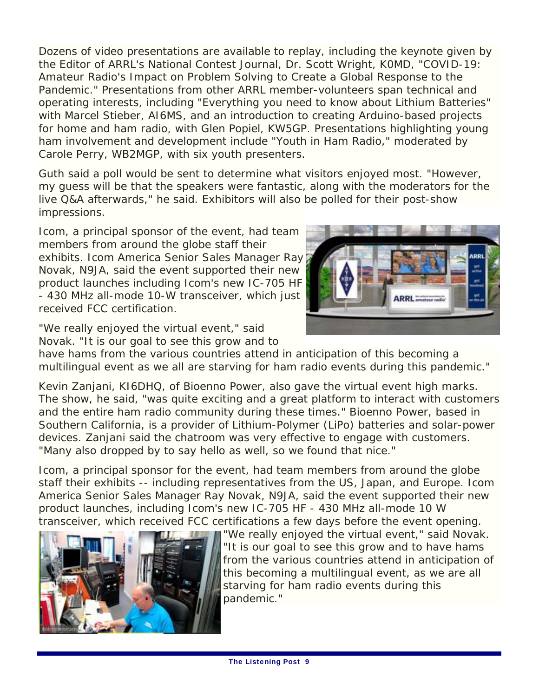Dozens of video presentations are available to replay, including the keynote given by the Editor of ARRL's *National Contest Journal,* Dr. Scott Wright, K0MD, "COVID-19: Amateur Radio's Impact on Problem Solving to Create a Global Response to the Pandemic." Presentations from other ARRL member-volunteers span technical and operating interests, including "Everything you need to know about Lithium Batteries" with Marcel Stieber, AI6MS, and an introduction to creating Arduino-based projects for home and ham radio, with Glen Popiel, KW5GP. Presentations highlighting young ham involvement and development include "Youth in Ham Radio," moderated by Carole Perry, WB2MGP, with six youth presenters.

Guth said a poll would be sent to determine what visitors enjoyed most. "However, my guess will be that the speakers were fantastic, along with the moderators for the live Q&A afterwards," he said. Exhibitors will also be polled for their post-show impressions.

Icom, a principal sponsor of the event, had team members from around the globe staff their exhibits. Icom America Senior Sales Manager Ray Novak, N9JA, said the event supported their new product launches including Icom's new IC-705 HF - 430 MHz all-mode 10-W transceiver, which just received FCC certification.



"We really enjoyed the virtual event," said Novak. "It is our goal to see this grow and to

have hams from the various countries attend in anticipation of this becoming a multilingual event as we all are starving for ham radio events during this pandemic."

Kevin Zanjani, KI6DHQ, of Bioenno Power, also gave the virtual event high marks. The show, he said, "was quite exciting and a great platform to interact with customers and the entire ham radio community during these times." Bioenno Power, based in Southern California, is a provider of Lithium-Polymer (LiPo) batteries and solar-power devices. Zanjani said the chatroom was very effective to engage with customers. "Many also dropped by to say hello as well, so we found that nice."

Icom, a principal sponsor for the event, had team members from around the globe staff their exhibits -- including representatives from the US, Japan, and Europe. Icom America Senior Sales Manager Ray Novak, N9JA, said the event supported their new product launches, including Icom's new IC-705 HF - 430 MHz all-mode 10 W transceiver, which received FCC certifications a few days before the event opening.



"We really enjoyed the virtual event," said Novak. "It is our goal to see this grow and to have hams from the various countries attend in anticipation of this becoming a multilingual event, as we are all starving for ham radio events during this pandemic."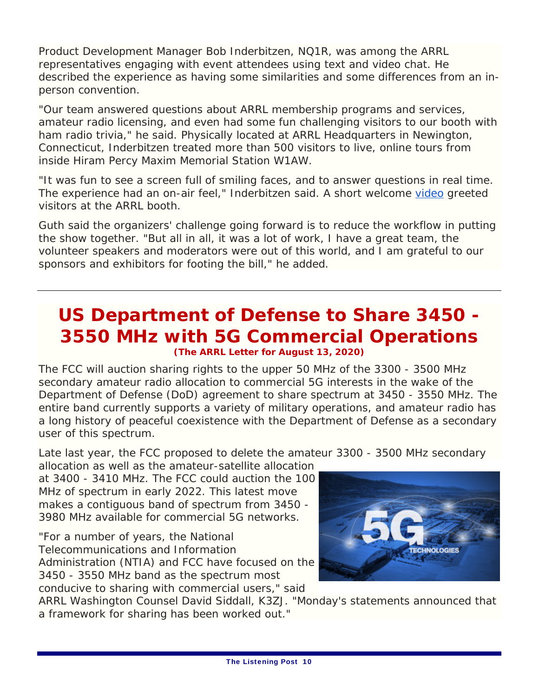Product Development Manager Bob Inderbitzen, NQ1R, was among the ARRL representatives engaging with event attendees using text and video chat. He described the experience as having some similarities and some differences from an inperson convention.

"Our team answered questions about ARRL membership programs and services, amateur radio licensing, and even had some fun challenging visitors to our booth with ham radio trivia," he said. Physically located at ARRL Headquarters in Newington, Connecticut, Inderbitzen treated more than 500 visitors to live, online tours from inside Hiram Percy Maxim Memorial Station W1AW.

"It was fun to see a screen full of smiling faces, and to answer questions in real time. The experience had an on-air feel," Inderbitzen said. A short welcome video greeted visitors at the ARRL booth.

Guth said the organizers' challenge going forward is to reduce the workflow in putting the show together. "But all in all, it was a lot of work, I have a great team, the volunteer speakers and moderators were out of this world, and I am grateful to our sponsors and exhibitors for footing the bill," he added.

### **US Department of Defense to Share 3450 - 3550 MHz with 5G Commercial Operations (The ARRL Letter for August 13, 2020)**

The FCC will auction sharing rights to the upper 50 MHz of the 3300 - 3500 MHz secondary amateur radio allocation to commercial 5G interests in the wake of the Department of Defense (DoD) agreement to share spectrum at 3450 - 3550 MHz. The entire band currently supports a variety of military operations, and amateur radio has a long history of peaceful coexistence with the Department of Defense as a secondary user of this spectrum.

Late last year, the FCC proposed to delete the amateur 3300 - 3500 MHz secondary allocation as well as the amateur-satellite allocation

at 3400 - 3410 MHz. The FCC could auction the 100 MHz of spectrum in early 2022. This latest move makes a contiguous band of spectrum from 3450 - 3980 MHz available for commercial 5G networks.

"For a number of years, the National Telecommunications and Information Administration (NTIA) and FCC have focused on the 3450 - 3550 MHz band as the spectrum most conducive to sharing with commercial users," said



ARRL Washington Counsel David Siddall, K3ZJ. "Monday's statements announced that a framework for sharing has been worked out."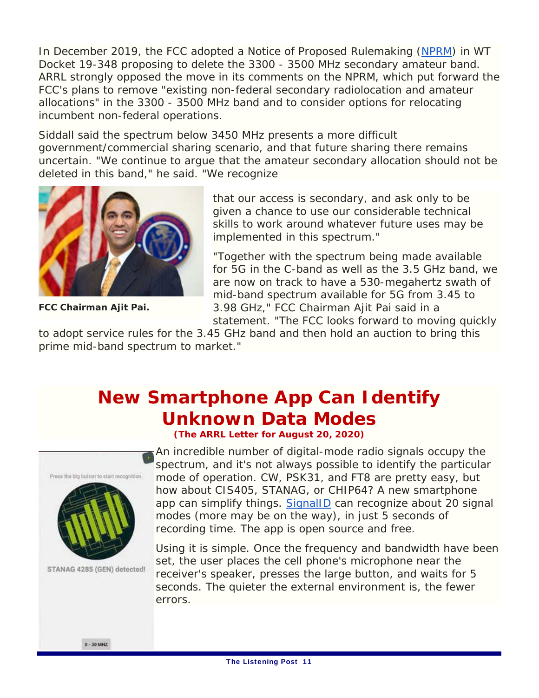In December 2019, the FCC adopted a *Notice of Proposed Rulemaking* (*NPRM*) in WT Docket 19-348 proposing to delete the 3300 - 3500 MHz secondary amateur band. ARRL strongly opposed the move in its comments on the *NPRM*, which put forward the FCC's plans to remove "existing non-federal secondary radiolocation and amateur allocations" in the 3300 - 3500 MHz band and to consider options for relocating incumbent non-federal operations.

Siddall said the spectrum below 3450 MHz presents a more difficult government/commercial sharing scenario, and that future sharing there remains uncertain. "We continue to argue that the amateur secondary allocation should not be deleted in this band," he said. "We recognize



**FCC Chairman Ajit Pai.**

that our access is secondary, and ask only to be given a chance to use our considerable technical skills to work around whatever future uses may be implemented in this spectrum."

"Together with the spectrum being made available for 5G in the C-band as well as the 3.5 GHz band, we are now on track to have a 530-megahertz swath of mid-band spectrum available for 5G from 3.45 to 3.98 GHz," FCC Chairman Ajit Pai said in a statement. "The FCC looks forward to moving quickly

to adopt service rules for the 3.45 GHz band and then hold an auction to bring this prime mid-band spectrum to market."

### **New Smartphone App Can Identify Unknown Data Modes**

**(The ARRL Letter for August 20, 2020)**



STANAG 4285 (GEN) detected!

An incredible number of digital-mode radio signals occupy the spectrum, and it's not always possible to identify the particular mode of operation. CW, PSK31, and FT8 are pretty easy, but how about CIS405, STANAG, or CHIP64? A new smartphone app can simplify things. *SignalID* can recognize about 20 signal modes (more may be on the way), in just 5 seconds of recording time. The app is open source and free.

Using it is simple. Once the frequency and bandwidth have been set, the user places the cell phone's microphone near the receiver's speaker, presses the large button, and waits for 5 seconds. The quieter the external environment is, the fewer errors.

 $0 - 30$  MHZ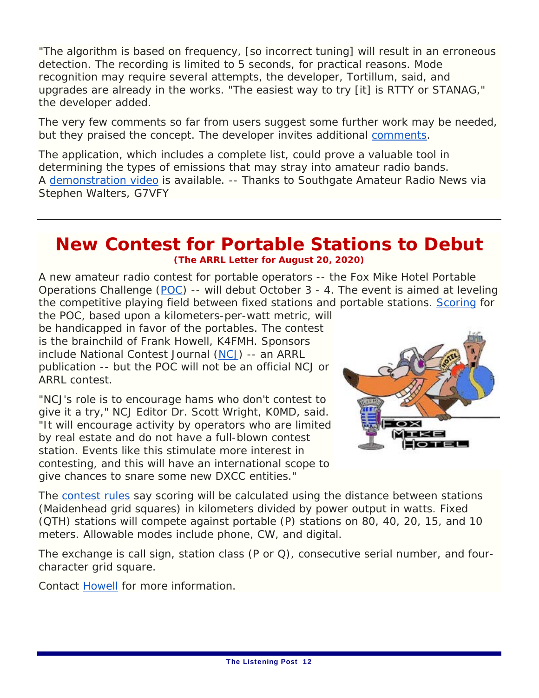"The algorithm is based on frequency, [so incorrect tuning] will result in an erroneous detection. The recording is limited to 5 seconds, for practical reasons. Mode recognition may require several attempts, the developer, Tortillum, said, and upgrades are already in the works. "The easiest way to try [it] is RTTY or STANAG," the developer added.

The very few comments so far from users suggest some further work may be needed, but they praised the concept. The developer invites additional comments.

The application, which includes a complete list, could prove a valuable tool in determining the types of emissions that may stray into amateur radio bands. A demonstration video is available. -- *Thanks to* Southgate Amateur Radio News *via Stephen Walters, G7VFY*

### **New Contest for Portable Stations to Debut (The ARRL Letter for August 20, 2020)**

A new amateur radio contest for portable operators -- the Fox Mike Hotel Portable Operations Challenge (POC) -- will debut October 3 - 4. The event is aimed at leveling the competitive playing field between fixed stations and portable stations. Scoring for

the POC, based upon a kilometers-per-watt metric, will be handicapped in favor of the portables. The contest is the brainchild of Frank Howell, K4FMH. Sponsors include *National Contest Journal* (*NCJ*) -- an ARRL publication -- but the POC will not be an official *NCJ* or ARRL contest.

"*NCJ*'s role is to encourage hams who don't contest to give it a try," *NCJ* Editor Dr. Scott Wright, K0MD, said. "It will encourage activity by operators who are limited by real estate and do not have a full-blown contest station. Events like this stimulate more interest in contesting, and this will have an international scope to give chances to snare some new DXCC entities."



The contest rules say scoring will be calculated using the distance between stations (Maidenhead grid squares) in kilometers divided by power output in watts. Fixed (QTH) stations will compete against portable (P) stations on 80, 40, 20, 15, and 10 meters. Allowable modes include phone, CW, and digital.

The exchange is call sign, station class (P or Q), consecutive serial number, and fourcharacter grid square.

Contact Howell for more information.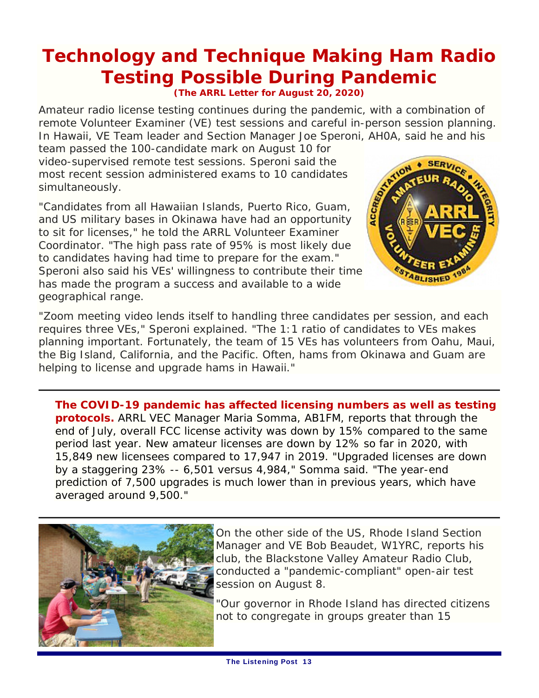# **Technology and Technique Making Ham Radio Testing Possible During Pandemic**

**(The ARRL Letter for August 20, 2020)**

Amateur radio license testing continues during the pandemic, with a combination of remote Volunteer Examiner (VE) test sessions and careful in-person session planning. In Hawaii, VE Team leader and Section Manager Joe Speroni, AH0A, said he and his

team passed the 100-candidate mark on August 10 for video-supervised remote test sessions. Speroni said the most recent session administered exams to 10 candidates simultaneously.

"Candidates from all Hawaiian Islands, Puerto Rico, Guam, and US military bases in Okinawa have had an opportunity to sit for licenses," he told the ARRL Volunteer Examiner Coordinator. "The high pass rate of 95% is most likely due to candidates having had time to prepare for the exam." Speroni also said his VEs' willingness to contribute their time has made the program a success and available to a wide geographical range.



"Zoom meeting video lends itself to handling three candidates per session, and each requires three VEs," Speroni explained. "The 1:1 ratio of candidates to VEs makes planning important. Fortunately, the team of 15 VEs has volunteers from Oahu, Maui, the Big Island, California, and the Pacific. Often, hams from Okinawa and Guam are helping to license and upgrade hams in Hawaii."

**The COVID-19 pandemic has affected licensing numbers as well as testing protocols.** ARRL VEC Manager Maria Somma, AB1FM, reports that through the end of July, overall FCC license activity was down by 15% compared to the same period last year. New amateur licenses are down by 12% so far in 2020, with 15,849 new licensees compared to 17,947 in 2019. "Upgraded licenses are down by a staggering 23% -- 6,501 versus 4,984," Somma said. "The year-end prediction of 7,500 upgrades is much lower than in previous years, which have averaged around 9,500."



On the other side of the US, Rhode Island Section Manager and VE Bob Beaudet, W1YRC, reports his club, the Blackstone Valley Amateur Radio Club, conducted a "pandemic-compliant" open-air test session on August 8.

"Our governor in Rhode Island has directed citizens not to congregate in groups greater than 15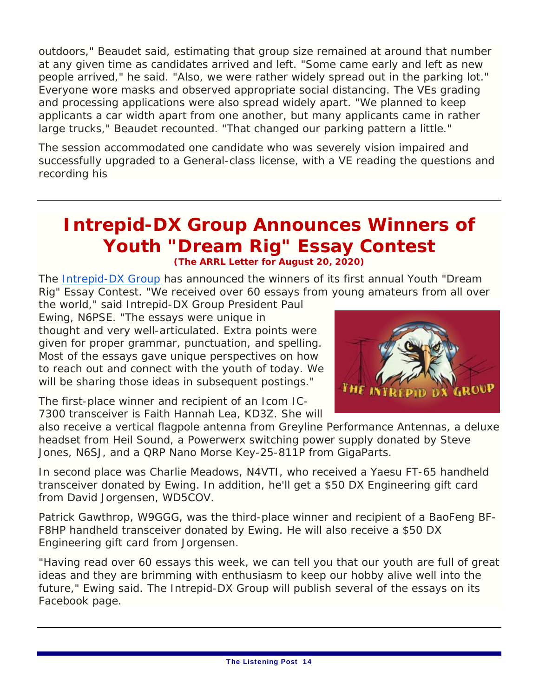outdoors," Beaudet said, estimating that group size remained at around that number at any given time as candidates arrived and left. "Some came early and left as new people arrived," he said. "Also, we were rather widely spread out in the parking lot." Everyone wore masks and observed appropriate social distancing. The VEs grading and processing applications were also spread widely apart. "We planned to keep applicants a car width apart from one another, but many applicants came in rather large trucks," Beaudet recounted. "That changed our parking pattern a little."

The session accommodated one candidate who was severely vision impaired and successfully upgraded to a General-class license, with a VE reading the questions and recording his

### **Intrepid-DX Group Announces Winners of Youth "Dream Rig" Essay Contest (The ARRL Letter for August 20, 2020)**

The Intrepid-DX Group has announced the winners of its first annual Youth "Dream Rig" Essay Contest. "We received over 60 essays from young amateurs from all over

the world," said Intrepid-DX Group President Paul Ewing, N6PSE. "The essays were unique in thought and very well-articulated. Extra points were given for proper grammar, punctuation, and spelling. Most of the essays gave unique perspectives on how to reach out and connect with the youth of today. We will be sharing those ideas in subsequent postings."

1 не I

The first-place winner and recipient of an Icom IC-7300 transceiver is Faith Hannah Lea, KD3Z. She will

also receive a vertical flagpole antenna from Greyline Performance Antennas, a deluxe headset from Heil Sound, a Powerwerx switching power supply donated by Steve Jones, N6SJ, and a QRP Nano Morse Key-25-811P from GigaParts.

In second place was Charlie Meadows, N4VTI, who received a Yaesu FT-65 handheld transceiver donated by Ewing. In addition, he'll get a \$50 DX Engineering gift card from David Jorgensen, WD5COV.

Patrick Gawthrop, W9GGG, was the third-place winner and recipient of a BaoFeng BF-F8HP handheld transceiver donated by Ewing. He will also receive a \$50 DX Engineering gift card from Jorgensen.

"Having read over 60 essays this week, we can tell you that our youth are full of great ideas and they are brimming with enthusiasm to keep our hobby alive well into the future," Ewing said. The Intrepid-DX Group will publish several of the essays on its Facebook page.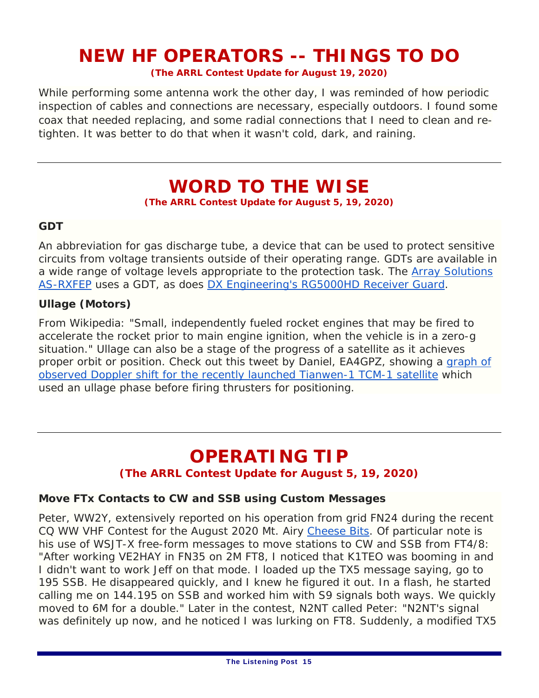### **NEW HF OPERATORS -- THINGS TO DO**

**(The ARRL Contest Update for August 19, 2020)**

While performing some antenna work the other day, I was reminded of how periodic inspection of cables and connections are necessary, especially outdoors. I found some coax that needed replacing, and some radial connections that I need to clean and retighten. It was better to do that when it wasn't cold, dark, and raining.

### **WORD TO THE WISE**

**(The ARRL Contest Update for August 5, 19, 2020)** 

#### **GDT**

An abbreviation for gas discharge tube, a device that can be used to protect sensitive circuits from voltage transients outside of their operating range. GDTs are available in a wide range of voltage levels appropriate to the protection task. The Array Solutions AS-RXFEP uses a GDT, as does DX Engineering's RG5000HD Receiver Guard.

#### **Ullage (Motors)**

From Wikipedia: "Small, independently fueled rocket engines that may be fired to accelerate the rocket prior to main engine ignition, when the vehicle is in a zero-g situation." Ullage can also be a stage of the progress of a satellite as it achieves proper orbit or position. Check out this tweet by Daniel, EA4GPZ, showing a graph of observed Doppler shift for the recently launched Tianwen-1 TCM-1 satellite which used an ullage phase before firing thrusters for positioning.

### **OPERATING TIP**

#### **(The ARRL Contest Update for August 5, 19, 2020)**

#### **Move FTx Contacts to CW and SSB using Custom Messages**

Peter, WW2Y, extensively reported on his operation from grid FN24 during the recent CQ WW VHF Contest for the August 2020 Mt. Airy *Cheese Bits.* Of particular note is his use of WSJT-X free-form messages to move stations to CW and SSB from FT4/8: "After working VE2HAY in FN35 on 2M FT8, I noticed that K1TEO was booming in and I didn't want to work Jeff on that mode. I loaded up the TX5 message saying, go to 195 SSB. He disappeared quickly, and I knew he figured it out. In a flash, he started calling me on 144.195 on SSB and worked him with S9 signals both ways. We quickly moved to 6M for a double." Later in the contest, N2NT called Peter: "N2NT's signal was definitely up now, and he noticed I was lurking on FT8. Suddenly, a modified TX5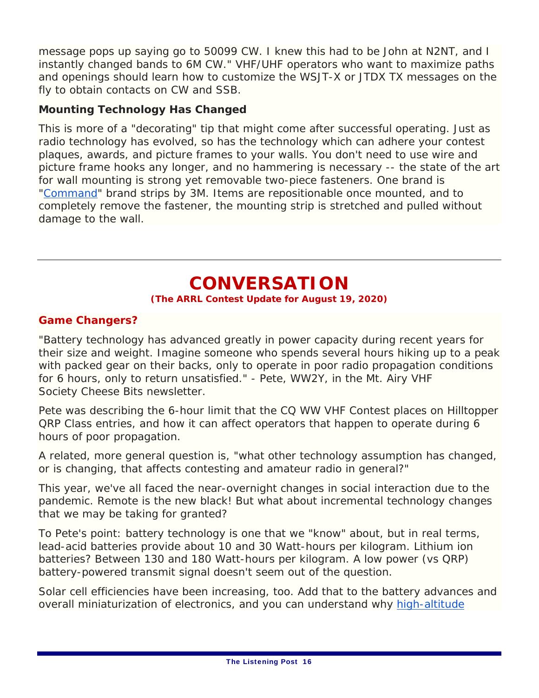message pops up saying go to 50099 CW. I knew this had to be John at N2NT, and I instantly changed bands to 6M CW." VHF/UHF operators who want to maximize paths and openings should learn how to customize the *WSJT-X* or *JTDX* TX messages on the fly to obtain contacts on CW and SSB.

### **Mounting Technology Has Changed**

This is more of a "decorating" tip that might come after successful operating. Just as radio technology has evolved, so has the technology which can adhere your contest plaques, awards, and picture frames to your walls. You don't need to use wire and picture frame hooks any longer, and no hammering is necessary -- the state of the art for wall mounting is strong yet removable two-piece fasteners. One brand is "Command" brand strips by 3M. Items are repositionable once mounted, and to completely remove the fastener, the mounting strip is stretched and pulled without damage to the wall.

### **CONVERSATION**

#### **(The ARRL Contest Update for August 19, 2020)**

#### **Game Changers?**

"Battery technology has advanced greatly in power capacity during recent years for their size and weight. Imagine someone who spends several hours hiking up to a peak with packed gear on their backs, only to operate in poor radio propagation conditions for 6 hours, only to return unsatisfied." - Pete, WW2Y, in the Mt. Airy VHF Society *Cheese Bits* newsletter.

Pete was describing the 6-hour limit that the CQ WW VHF Contest places on Hilltopper QRP Class entries, and how it can affect operators that happen to operate during 6 hours of poor propagation.

A related, more general question is, "what other technology assumption has changed, or is changing, that affects contesting and amateur radio in general?"

This year, we've all faced the near-overnight changes in social interaction due to the pandemic. Remote is the new black! But what about incremental technology changes that we may be taking for granted?

To Pete's point: battery technology is one that we "know" about, but in real terms, lead-acid batteries provide about 10 and 30 Watt-hours per kilogram. Lithium ion batteries? Between 130 and 180 Watt-hours per kilogram. A low power (vs QRP) battery-powered transmit signal doesn't seem out of the question.

Solar cell efficiencies have been increasing, too. Add that to the battery advances and overall miniaturization of electronics, and you can understand why high-altitude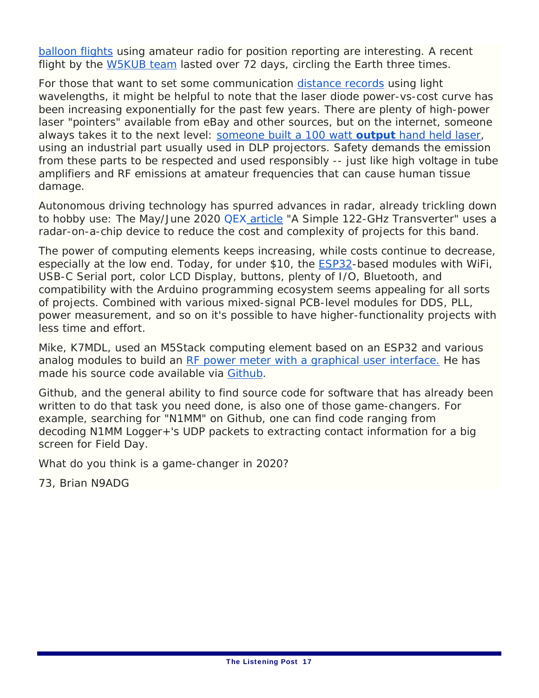balloon flights using amateur radio for position reporting are interesting. A recent flight by the W5KUB team lasted over 72 days, circling the Earth three times.

For those that want to set some communication distance records using light wavelengths, it might be helpful to note that the laser diode power-vs-cost curve has been increasing exponentially for the past few years. There are plenty of high-power laser "pointers" available from eBay and other sources, but on the internet, someone always takes it to the next level: someone built a 100 watt **output** hand held laser, using an industrial part usually used in DLP projectors. Safety demands the emission from these parts to be respected and used responsibly -- just like high voltage in tube amplifiers and RF emissions at amateur frequencies that can cause human tissue damage.

Autonomous driving technology has spurred advances in radar, already trickling down to hobby use: The May/June 2020 *QEX* article "A Simple 122-GHz Transverter" uses a radar-on-a-chip device to reduce the cost and complexity of projects for this band.

The power of computing elements keeps increasing, while costs continue to decrease, especially at the low end. Today, for under \$10, the ESP32-based modules with WiFi, USB-C Serial port, color LCD Display, buttons, plenty of I/O, Bluetooth, and compatibility with the Arduino programming ecosystem seems appealing for all sorts of projects. Combined with various mixed-signal PCB-level modules for DDS, PLL, power measurement, and so on it's possible to have higher-functionality projects with less time and effort.

Mike, K7MDL, used an M5Stack computing element based on an ESP32 and various analog modules to build an RF power meter with a graphical user interface. He has made his source code available via Github.

Github, and the general ability to find source code for software that has already been written to do that task you need done, is also one of those game-changers. For example, searching for "N1MM" on Github, one can find code ranging from decoding *N1MM Logger+*'s UDP packets to extracting contact information for a big screen for Field Day.

What do you think is a game-changer in 2020?

73, Brian N9ADG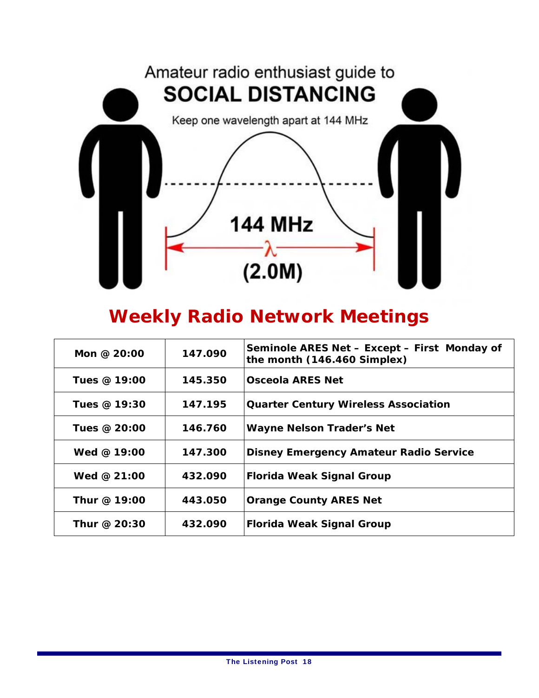

### **Weekly Radio Network Meetings**

| Mon @ $20:00$ | 147.090 | Seminole ARES Net - Except - First Monday of<br>the month (146.460 Simplex) |
|---------------|---------|-----------------------------------------------------------------------------|
| Tues @ 19:00  | 145.350 | Osceola ARES Net                                                            |
| Tues @ 19:30  | 147.195 | <b>Quarter Century Wireless Association</b>                                 |
| Tues @ 20:00  | 146.760 | <b>Wayne Nelson Trader's Net</b>                                            |
| Wed $@$ 19:00 | 147.300 | <b>Disney Emergency Amateur Radio Service</b>                               |
| Wed @ $21:00$ | 432.090 | <b>Florida Weak Signal Group</b>                                            |
| Thur @ 19:00  | 443.050 | <b>Orange County ARES Net</b>                                               |
| Thur @ 20:30  | 432.090 | <b>Florida Weak Signal Group</b>                                            |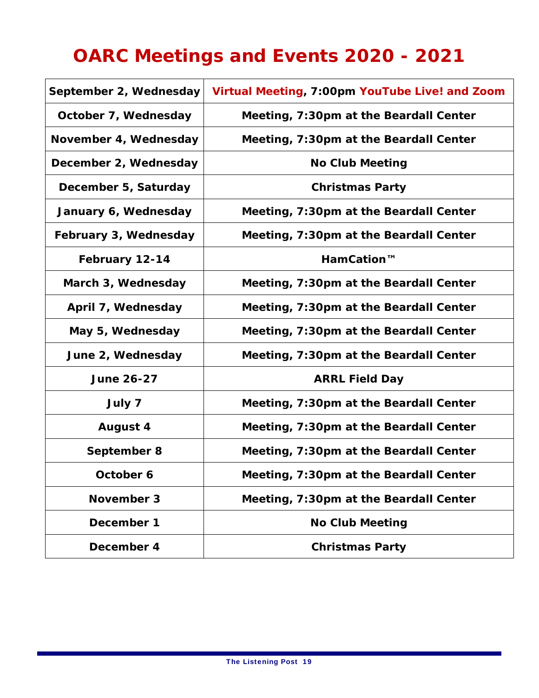# **OARC Meetings and Events 2020 - 2021**

| September 2, Wednesday | Virtual Meeting, 7:00pm YouTube Live! and Zoom |
|------------------------|------------------------------------------------|
| October 7, Wednesday   | Meeting, 7:30pm at the Beardall Center         |
| November 4, Wednesday  | Meeting, 7:30pm at the Beardall Center         |
| December 2, Wednesday  | <b>No Club Meeting</b>                         |
| December 5, Saturday   | <b>Christmas Party</b>                         |
| January 6, Wednesday   | Meeting, 7:30pm at the Beardall Center         |
| February 3, Wednesday  | Meeting, 7:30pm at the Beardall Center         |
| February 12-14         | HamCation™                                     |
| March 3, Wednesday     | Meeting, 7:30pm at the Beardall Center         |
| April 7, Wednesday     | Meeting, 7:30pm at the Beardall Center         |
| May 5, Wednesday       | Meeting, 7:30pm at the Beardall Center         |
| June 2, Wednesday      | Meeting, 7:30pm at the Beardall Center         |
| <b>June 26-27</b>      | <b>ARRL Field Day</b>                          |
| July 7                 | Meeting, 7:30pm at the Beardall Center         |
| <b>August 4</b>        | Meeting, 7:30pm at the Beardall Center         |
| September 8            | Meeting, 7:30pm at the Beardall Center         |
| October 6              | Meeting, 7:30pm at the Beardall Center         |
| November 3             | Meeting, 7:30pm at the Beardall Center         |
| December 1             | <b>No Club Meeting</b>                         |
| December 4             | <b>Christmas Party</b>                         |